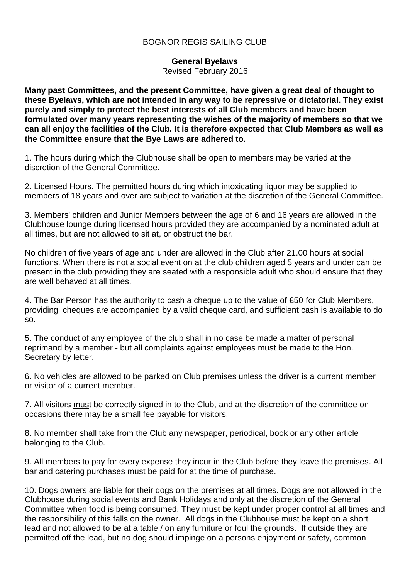## BOGNOR REGIS SAILING CLUB

**General Byelaws**

Revised February 2016

**Many past Committees, and the present Committee, have given a great deal of thought to these Byelaws, which are not intended in any way to be repressive or dictatorial. They exist purely and simply to protect the best interests of all Club members and have been formulated over many years representing the wishes of the majority of members so that we can all enjoy the facilities of the Club. It is therefore expected that Club Members as well as the Committee ensure that the Bye Laws are adhered to.**

1. The hours during which the Clubhouse shall be open to members may be varied at the discretion of the General Committee.

2. Licensed Hours. The permitted hours during which intoxicating liquor may be supplied to members of 18 years and over are subject to variation at the discretion of the General Committee.

3. Members' children and Junior Members between the age of 6 and 16 years are allowed in the Clubhouse lounge during licensed hours provided they are accompanied by a nominated adult at all times, but are not allowed to sit at, or obstruct the bar.

No children of five years of age and under are allowed in the Club after 21.00 hours at social functions. When there is not a social event on at the club children aged 5 years and under can be present in the club providing they are seated with a responsible adult who should ensure that they are well behaved at all times.

4. The Bar Person has the authority to cash a cheque up to the value of £50 for Club Members, providing cheques are accompanied by a valid cheque card, and sufficient cash is available to do so.

5. The conduct of any employee of the club shall in no case be made a matter of personal reprimand by a member - but all complaints against employees must be made to the Hon. Secretary by letter.

6. No vehicles are allowed to be parked on Club premises unless the driver is a current member or visitor of a current member.

7. All visitors must be correctly signed in to the Club, and at the discretion of the committee on occasions there may be a small fee payable for visitors.

8. No member shall take from the Club any newspaper, periodical, book or any other article belonging to the Club.

9. All members to pay for every expense they incur in the Club before they leave the premises. All bar and catering purchases must be paid for at the time of purchase.

10. Dogs owners are liable for their dogs on the premises at all times. Dogs are not allowed in the Clubhouse during social events and Bank Holidays and only at the discretion of the General Committee when food is being consumed. They must be kept under proper control at all times and the responsibility of this falls on the owner. All dogs in the Clubhouse must be kept on a short lead and not allowed to be at a table / on any furniture or foul the grounds. If outside they are permitted off the lead, but no dog should impinge on a persons enjoyment or safety, common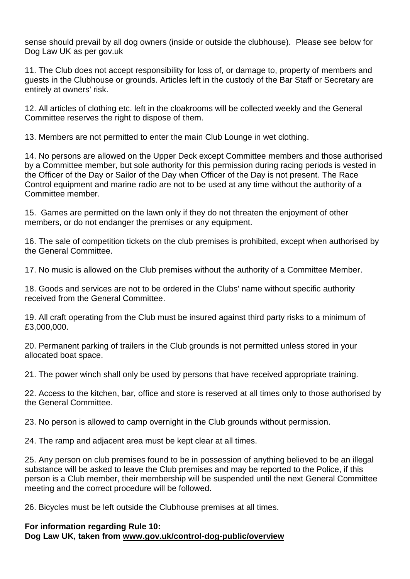sense should prevail by all dog owners (inside or outside the clubhouse). Please see below for Dog Law UK as per gov.uk

11. The Club does not accept responsibility for loss of, or damage to, property of members and guests in the Clubhouse or grounds. Articles left in the custody of the Bar Staff or Secretary are entirely at owners' risk.

12. All articles of clothing etc. left in the cloakrooms will be collected weekly and the General Committee reserves the right to dispose of them.

13. Members are not permitted to enter the main Club Lounge in wet clothing.

14. No persons are allowed on the Upper Deck except Committee members and those authorised by a Committee member, but sole authority for this permission during racing periods is vested in the Officer of the Day or Sailor of the Day when Officer of the Day is not present. The Race Control equipment and marine radio are not to be used at any time without the authority of a Committee member.

15. Games are permitted on the lawn only if they do not threaten the enjoyment of other members, or do not endanger the premises or any equipment.

16. The sale of competition tickets on the club premises is prohibited, except when authorised by the General Committee.

17. No music is allowed on the Club premises without the authority of a Committee Member.

18. Goods and services are not to be ordered in the Clubs' name without specific authority received from the General Committee.

19. All craft operating from the Club must be insured against third party risks to a minimum of £3,000,000.

20. Permanent parking of trailers in the Club grounds is not permitted unless stored in your allocated boat space.

21. The power winch shall only be used by persons that have received appropriate training.

22. Access to the kitchen, bar, office and store is reserved at all times only to those authorised by the General Committee.

23. No person is allowed to camp overnight in the Club grounds without permission.

24. The ramp and adjacent area must be kept clear at all times.

25. Any person on club premises found to be in possession of anything believed to be an illegal substance will be asked to leave the Club premises and may be reported to the Police, if this person is a Club member, their membership will be suspended until the next General Committee meeting and the correct procedure will be followed.

26. Bicycles must be left outside the Clubhouse premises at all times.

## **For information regarding Rule 10: Dog Law UK, taken from [www.gov.uk/control-dog-public/overview](http://www.gov.uk/control-dog-public/overview)**